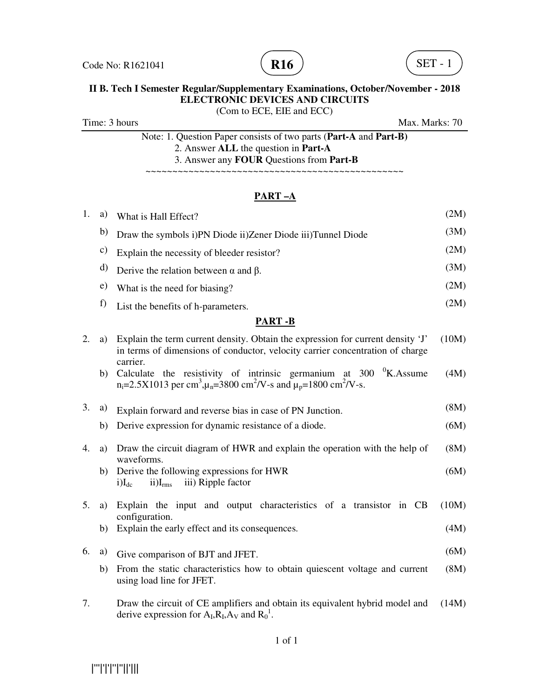



(Com to ECE, EIE and ECC)

Time: 3 hours Max. Marks: 70

Note: 1. Question Paper consists of two parts (**Part-A** and **Part-B)** 2. Answer **ALL** the question in **Part-A** 3. Answer any **FOUR** Questions from **Part-B**

~~~~~~~~~~~~~~~~~~~~~~~~~~~~~~~~~~~~~~~~~~~~~~~~

| 1. | a)           | What is Hall Effect?                                                                                                                                                                                   | (2M)  |
|----|--------------|--------------------------------------------------------------------------------------------------------------------------------------------------------------------------------------------------------|-------|
|    | b)           | Draw the symbols i)PN Diode ii)Zener Diode iii)Tunnel Diode                                                                                                                                            | (3M)  |
|    | c)           | Explain the necessity of bleeder resistor?                                                                                                                                                             | (2M)  |
|    | d)           | Derive the relation between $\alpha$ and $\beta$ .                                                                                                                                                     | (3M)  |
|    | $\epsilon$ ) | What is the need for biasing?                                                                                                                                                                          | (2M)  |
|    | f)           | List the benefits of h-parameters.                                                                                                                                                                     | (2M)  |
|    |              | <b>PART-B</b>                                                                                                                                                                                          |       |
| 2. | a)           | Explain the term current density. Obtain the expression for current density 'J'<br>in terms of dimensions of conductor, velocity carrier concentration of charge<br>carrier.                           | (10M) |
|    | b)           | Calculate the resistivity of intrinsic germanium at $300 \, \mathrm{~}^{0}$ K. Assume<br>$n_i=2.5X1013$ per cm <sup>3</sup> , $\mu_n=3800$ cm <sup>2</sup> /V-s and $\mu_p=1800$ cm <sup>2</sup> /V-s. | (4M)  |
| 3. | a)           | Explain forward and reverse bias in case of PN Junction.                                                                                                                                               | (8M)  |
|    | b)           | Derive expression for dynamic resistance of a diode.                                                                                                                                                   | (6M)  |
| 4. | a)           | Draw the circuit diagram of HWR and explain the operation with the help of<br>waveforms.                                                                                                               | (8M)  |
|    | b)           | Derive the following expressions for HWR<br>iii) Ripple factor<br>$i)I_{dc}$<br>$ii)I_{rms}$                                                                                                           | (6M)  |
| 5. | a)           | Explain the input and output characteristics of a transistor in CB<br>configuration.                                                                                                                   | (10M) |
|    | b)           | Explain the early effect and its consequences.                                                                                                                                                         | (4M)  |
| 6. | a)           | Give comparison of BJT and JFET.                                                                                                                                                                       | (6M)  |
|    | b)           | From the static characteristics how to obtain quiescent voltage and current<br>using load line for JFET.                                                                                               | (8M)  |
| 7. |              | Draw the circuit of CE amplifiers and obtain its equivalent hybrid model and<br>derive expression for $A_I, R_I, A_V$ and $R_0^1$ .                                                                    | (14M) |

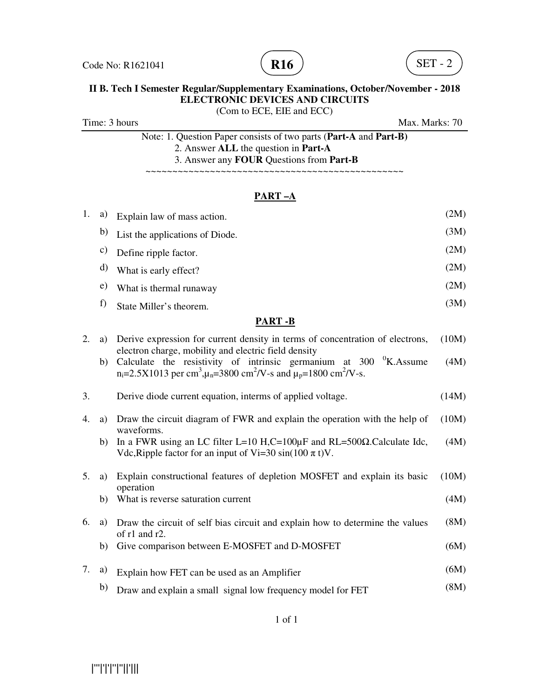



(Com to ECE, EIE and ECC)

| Time: 3 hours |  |  |
|---------------|--|--|
|               |  |  |

 $\text{Max. Marks: } 70$ 

Note: 1. Question Paper consists of two parts (**Part-A** and **Part-B)** 2. Answer **ALL** the question in **Part-A** 3. Answer any **FOUR** Questions from **Part-B**

~~~~~~~~~~~~~~~~~~~~~~~~~~~~~~~~~~~~~~~~~~~~~~~~

| 1. | a)            | Explain law of mass action.                                                                                                                                                                                                                                      | (2M)  |
|----|---------------|------------------------------------------------------------------------------------------------------------------------------------------------------------------------------------------------------------------------------------------------------------------|-------|
|    | b)            | List the applications of Diode.                                                                                                                                                                                                                                  | (3M)  |
|    | c)            | Define ripple factor.                                                                                                                                                                                                                                            | (2M)  |
|    | d)            | What is early effect?                                                                                                                                                                                                                                            | (2M)  |
|    | $\mathbf{e})$ | What is thermal runaway                                                                                                                                                                                                                                          | (2M)  |
|    | f)            | State Miller's theorem.                                                                                                                                                                                                                                          | (3M)  |
|    |               | <b>PART-B</b>                                                                                                                                                                                                                                                    |       |
| 2. | a)            | Derive expression for current density in terms of concentration of electrons,                                                                                                                                                                                    | (10M) |
|    | b)            | electron charge, mobility and electric field density<br>Calculate the resistivity of intrinsic germanium at $300\,$ $\,$ <sup>0</sup> K. Assume<br>$n_i=2.5X1013$ per cm <sup>3</sup> , $\mu_n=3800$ cm <sup>2</sup> /V-s and $\mu_p=1800$ cm <sup>2</sup> /V-s. | (4M)  |
| 3. |               | Derive diode current equation, interms of applied voltage.                                                                                                                                                                                                       | (14M) |
| 4. | a)            | Draw the circuit diagram of FWR and explain the operation with the help of<br>waveforms.                                                                                                                                                                         | (10M) |
|    | b)            | In a FWR using an LC filter L=10 H,C=100 $\mu$ F and RL=500 $\Omega$ .Calculate Idc,<br>Vdc, Ripple factor for an input of Vi=30 sin(100 $\pi$ t)V.                                                                                                              | (4M)  |
| 5. | a)            | Explain constructional features of depletion MOSFET and explain its basic<br>operation                                                                                                                                                                           | (10M) |
|    | b)            | What is reverse saturation current                                                                                                                                                                                                                               | (4M)  |
| 6. | a)            | Draw the circuit of self bias circuit and explain how to determine the values<br>of r1 and r2.                                                                                                                                                                   | (8M)  |
|    | b)            | Give comparison between E-MOSFET and D-MOSFET                                                                                                                                                                                                                    | (6M)  |
| 7. | a)            | Explain how FET can be used as an Amplifier                                                                                                                                                                                                                      | (6M)  |
|    | b)            | Draw and explain a small signal low frequency model for FET                                                                                                                                                                                                      | (8M)  |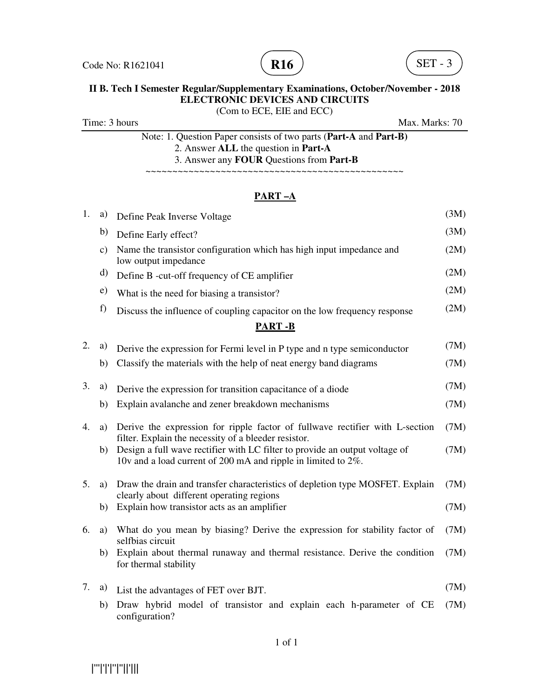



(Com to ECE, EIE and ECC)

Time: 3 hours Max. Marks: 70

Note: 1. Question Paper consists of two parts (**Part-A** and **Part-B)** 2. Answer **ALL** the question in **Part-A** 3. Answer any **FOUR** Questions from **Part-B**

~~~~~~~~~~~~~~~~~~~~~~~~~~~~~~~~~~~~~~~~~~~~~~~~

| 1. | a)            | Define Peak Inverse Voltage                                                                                                                  | (3M) |
|----|---------------|----------------------------------------------------------------------------------------------------------------------------------------------|------|
|    | b)            | Define Early effect?                                                                                                                         | (3M) |
|    | $\mathbf{c})$ | Name the transistor configuration which has high input impedance and<br>low output impedance                                                 | (2M) |
|    | d)            | Define B -cut-off frequency of CE amplifier                                                                                                  | (2M) |
|    | e)            | What is the need for biasing a transistor?                                                                                                   | (2M) |
|    | f)            | Discuss the influence of coupling capacitor on the low frequency response                                                                    | (2M) |
|    |               | <b>PART-B</b>                                                                                                                                |      |
| 2. | a)            | Derive the expression for Fermi level in P type and n type semiconductor                                                                     | (7M) |
|    | b)            | Classify the materials with the help of neat energy band diagrams                                                                            | (7M) |
| 3. | a)            | Derive the expression for transition capacitance of a diode                                                                                  | (7M) |
|    | b)            | Explain avalanche and zener breakdown mechanisms                                                                                             | (7M) |
| 4. | a)            | Derive the expression for ripple factor of fullwave rectifier with L-section<br>filter. Explain the necessity of a bleeder resistor.         | (7M) |
|    | b)            | Design a full wave rectifier with LC filter to provide an output voltage of<br>10v and a load current of 200 mA and ripple in limited to 2%. | (7M) |
| 5. | a)            | Draw the drain and transfer characteristics of depletion type MOSFET. Explain<br>clearly about different operating regions                   | (7M) |
|    | b)            | Explain how transistor acts as an amplifier                                                                                                  | (7M) |
| 6. | a)            | What do you mean by biasing? Derive the expression for stability factor of<br>selfbias circuit                                               | (7M) |
|    | b)            | Explain about thermal runaway and thermal resistance. Derive the condition<br>for thermal stability                                          | (7M) |
| 7. | a)            | List the advantages of FET over BJT.                                                                                                         | (7M) |
|    | b)            | Draw hybrid model of transistor and explain each h-parameter of CE<br>configuration?                                                         | (7M) |